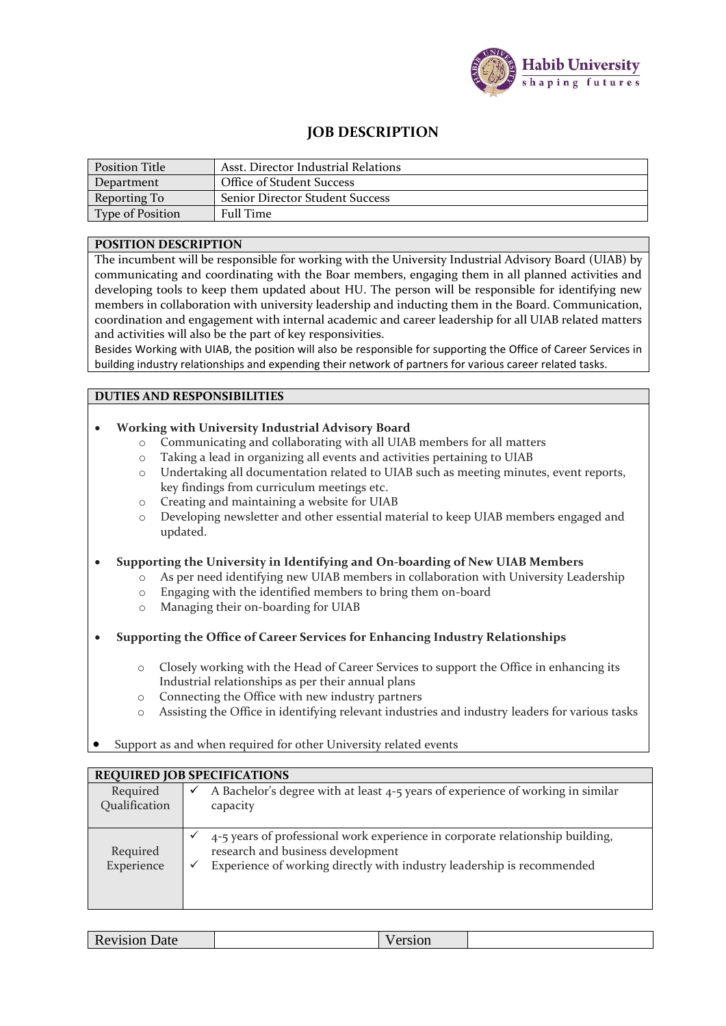

# **JOB DESCRIPTION**

| Position Title          | Asst. Director Industrial Relations    |
|-------------------------|----------------------------------------|
| Department              | Office of Student Success              |
| Reporting To            | <b>Senior Director Student Success</b> |
| <b>Type of Position</b> | <b>Full Time</b>                       |

### **POSITION DESCRIPTION**

The incumbent will be responsible for working with the University Industrial Advisory Board (UIAB) by communicating and coordinating with the Boar members, engaging them in all planned activities and developing tools to keep them updated about HU. The person will be responsible for identifying new members in collaboration with university leadership and inducting them in the Board. Communication, coordination and engagement with internal academic and career leadership for all UIAB related matters and activities will also be the part of key responsivities.

Besides Working with UIAB, the position will also be responsible for supporting the Office of Career Services in building industry relationships and expending their network of partners for various career related tasks.

## **DUTIES AND RESPONSIBILITIES**

### • **Working with University Industrial Advisory Board**

- o Communicating and collaborating with all UIAB members for all matters
- o Taking a lead in organizing all events and activities pertaining to UIAB
- o Undertaking all documentation related to UIAB such as meeting minutes, event reports, key findings from curriculum meetings etc.
- o Creating and maintaining a website for UIAB
- o Developing newsletter and other essential material to keep UIAB members engaged and updated.

### • **Supporting the University in Identifying and On-boarding of New UIAB Members**

- o As per need identifying new UIAB members in collaboration with University Leadership
- o Engaging with the identified members to bring them on-board
- o Managing their on-boarding for UIAB
- **Supporting the Office of Career Services for Enhancing Industry Relationships**
	- o Closely working with the Head of Career Services to support the Office in enhancing its Industrial relationships as per their annual plans
	- o Connecting the Office with new industry partners
	- o Assisting the Office in identifying relevant industries and industry leaders for various tasks
- Support as and when required for other University related events

| <b>REQUIRED JOB SPECIFICATIONS</b> |                                                                                                                                                                                                                   |  |  |  |
|------------------------------------|-------------------------------------------------------------------------------------------------------------------------------------------------------------------------------------------------------------------|--|--|--|
| Required<br>Qualification          | A Bachelor's degree with at least 4-5 years of experience of working in similar<br>$\checkmark$<br>capacity                                                                                                       |  |  |  |
| Required<br>Experience             | 4-5 years of professional work experience in corporate relationship building,<br>$\checkmark$<br>research and business development<br>Experience of working directly with industry leadership is recommended<br>✓ |  |  |  |

| vision Date<br>11C<br>____<br>_____ |
|-------------------------------------|
|-------------------------------------|